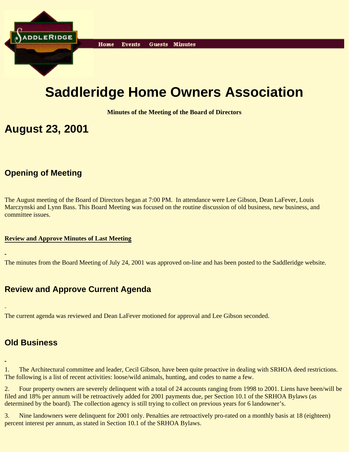

# **Saddleridge Home Owners Association**

**Minutes of the Meeting of the Board of Directors**

## **August 23, 2001**

## **Opening of Meeting**

The August meeting of the Board of Directors began at 7:00 PM. In attendance were Lee Gibson, Dean LaFever, Louis Marczynski and Lynn Bass. This Board Meeting was focused on the routine discussion of old business, new business, and committee issues.

#### **Review and Approve Minutes of Last Meeting**

The minutes from the Board Meeting of July 24, 2001 was approved on-line and has been posted to the Saddleridge website.

### **Review and Approve Current Agenda**

The current agenda was reviewed and Dean LaFever motioned for approval and Lee Gibson seconded.

### **Old Business**

1. The Architectural committee and leader, Cecil Gibson, have been quite proactive in dealing with SRHOA deed restrictions. The following is a list of recent activities: loose/wild animals, hunting, and codes to name a few.

2. Four property owners are severely delinquent with a total of 24 accounts ranging from 1998 to 2001. Liens have been/will be filed and 18% per annum will be retroactively added for 2001 payments due, per Section 10.1 of the SRHOA Bylaws (as determined by the board). The collection agency is still trying to collect on previous years for 6 landowner's.

3. Nine landowners were delinquent for 2001 only. Penalties are retroactively pro-rated on a monthly basis at 18 (eighteen) percent interest per annum, as stated in Section 10.1 of the SRHOA Bylaws.